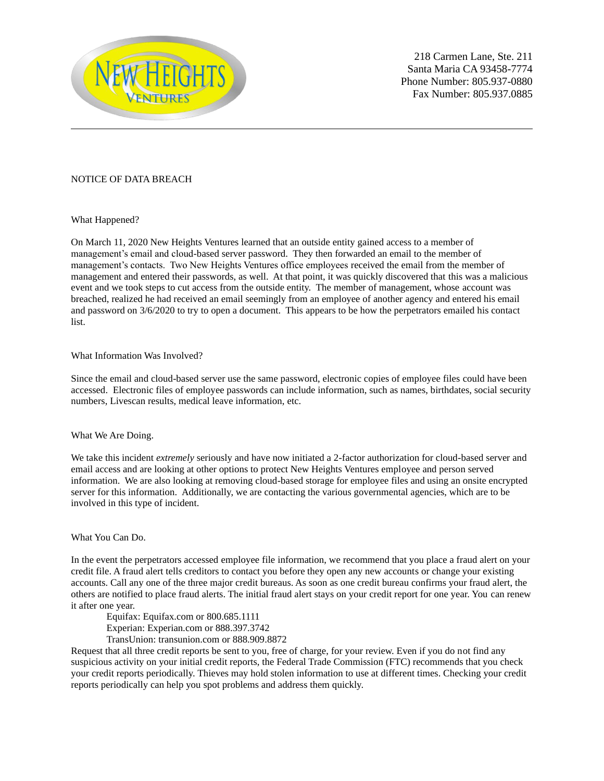

218 Carmen Lane, Ste. 211 Santa Maria CA 93458-7774 Phone Number: 805.937-0880 Fax Number: 805.937.0885

## NOTICE OF DATA BREACH

What Happened?

On March 11, 2020 New Heights Ventures learned that an outside entity gained access to a member of management's email and cloud-based server password. They then forwarded an email to the member of management's contacts. Two New Heights Ventures office employees received the email from the member of management and entered their passwords, as well. At that point, it was quickly discovered that this was a malicious event and we took steps to cut access from the outside entity. The member of management, whose account was breached, realized he had received an email seemingly from an employee of another agency and entered his email and password on 3/6/2020 to try to open a document. This appears to be how the perpetrators emailed his contact list.

## What Information Was Involved?

Since the email and cloud-based server use the same password, electronic copies of employee files could have been accessed. Electronic files of employee passwords can include information, such as names, birthdates, social security numbers, Livescan results, medical leave information, etc.

## What We Are Doing.

We take this incident *extremely* seriously and have now initiated a 2-factor authorization for cloud-based server and email access and are looking at other options to protect New Heights Ventures employee and person served information. We are also looking at removing cloud-based storage for employee files and using an onsite encrypted server for this information. Additionally, we are contacting the various governmental agencies, which are to be involved in this type of incident.

## What You Can Do.

In the event the perpetrators accessed employee file information, we recommend that you place a fraud alert on your credit file. A fraud alert tells creditors to contact you before they open any new accounts or change your existing accounts. Call any one of the three major credit bureaus. As soon as one credit bureau confirms your fraud alert, the others are notified to place fraud alerts. The initial fraud alert stays on your credit report for one year. You can renew it after one year.

Equifax: Equifax.com or 800.685.1111

Experian: Experian.com or 888.397.3742

TransUnion: transunion.com or 888.909.8872

Request that all three credit reports be sent to you, free of charge, for your review. Even if you do not find any suspicious activity on your initial credit reports, the Federal Trade Commission (FTC) recommends that you check your credit reports periodically. Thieves may hold stolen information to use at different times. Checking your credit reports periodically can help you spot problems and address them quickly.